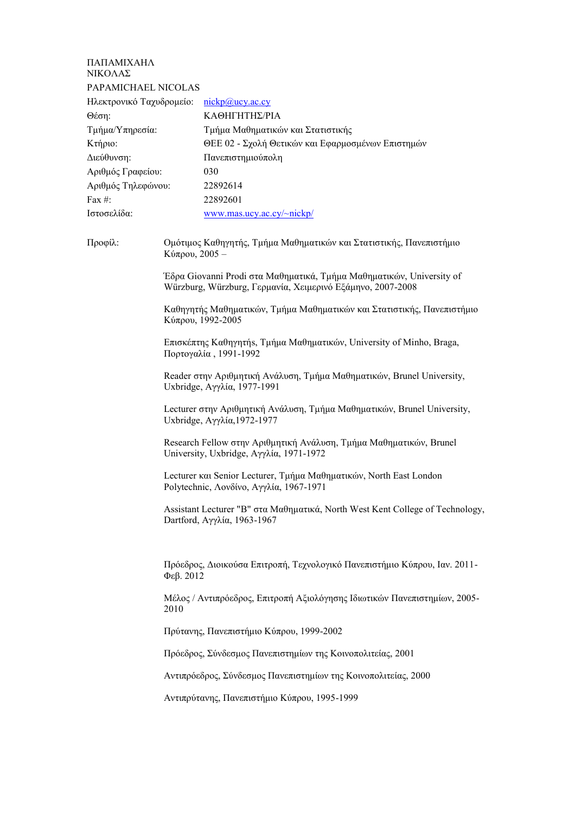## ΠΑΠΑΜΙΧΑΗΛ ΝΙΚΟΛΑΣ PAPAMICHAEL NICOLAS

| Hλεκτρονικό Tαχυδρομείο: nickp@ucy.ac.cy |                                                   |
|------------------------------------------|---------------------------------------------------|
| Θέση:                                    | ΚΑΘΗΓΗΤΗΣ/ΡΙΑ                                     |
| Τμήμα/Υπηρεσία:                          | Τμήμα Μαθηματικών και Στατιστικής                 |
| Κτήριο:                                  | ΘΕΕ 02 - Σχολή Θετικών και Εφαρμοσμένων Επιστημών |
| Διεύθυνση:                               | Πανεπιστημιούπολη                                 |
| Αριθμός Γραφείου:                        | 030                                               |
| Αριθμός Τηλεφώνου:                       | 22892614                                          |
| Fax $#$ :                                | 22892601                                          |
| Ιστοσελίδα:                              | www.mas.ucy.ac.cy/~nickp/                         |

Προφίλ: Ομότιμος Καθηγητής, Τμήμα Μαθηματικών και Στατιστικής, Πανεπιστήμιο Κύπρου, 2005 –

> Έδρα Giovanni Prodi στα Μαθηματικά, Τμήμα Μαθηματικών, University of Würzburg, Würzburg, Γερμανία, Χειμερινό Εξάμηνο, 2007-2008

Καθηγητής Μαθηματικών, Τμήμα Μαθηματικών και Στατιστικής, Πανεπιστήμιο Κύπρου, 1992-2005

Επισκέπτης Καθηγητήs, Τμήμα Μαθηματικών, University of Minho, Braga, Πορτογαλία , 1991-1992

Reader στην Αριθμητική Ανάλυση, Τμήμα Μαθηματικών, Brunel University, Uxbridge, Αγγλία, 1977-1991

Lecturer στην Αριθμητική Ανάλυση, Τμήμα Μαθηματικών, Brunel University, Uxbridge, Αγγλία,1972-1977

Research Fellow στην Αριθμητική Ανάλυση, Τμήμα Μαθηματικών, Brunel University, Uxbridge, Αγγλία, 1971-1972

Lecturer και Senior Lecturer, Τμήμα Μαθηματικών, North East London Polytechnic, Λονδίνο, Αγγλία, 1967-1971

Assistant Lecturer "B" στα Μαθηματικά, North West Kent College of Technology, Dartford, Αγγλία, 1963-1967

Πρόεδρος, Διοικούσα Επιτροπή, Τεχνολογικό Πανεπιστήμιο Κύπρου, Ιαν. 2011- Φεβ. 2012

Μέλος / Αντιπρόεδρος, Επιτροπή Αξιολόγησης Ιδιωτικών Πανεπιστημίων, 2005- 2010

Πρύτανης, Πανεπιστήμιο Κύπρου, 1999-2002

Πρόεδρος, Σύνδεσμος Πανεπιστημίων της Κοινοπολιτείας, 2001

Αντιπρόεδρος, Σύνδεσμος Πανεπιστημίων της Κοινοπολιτείας, 2000

Αντιπρύτανης, Πανεπιστήμιο Κύπρου, 1995-1999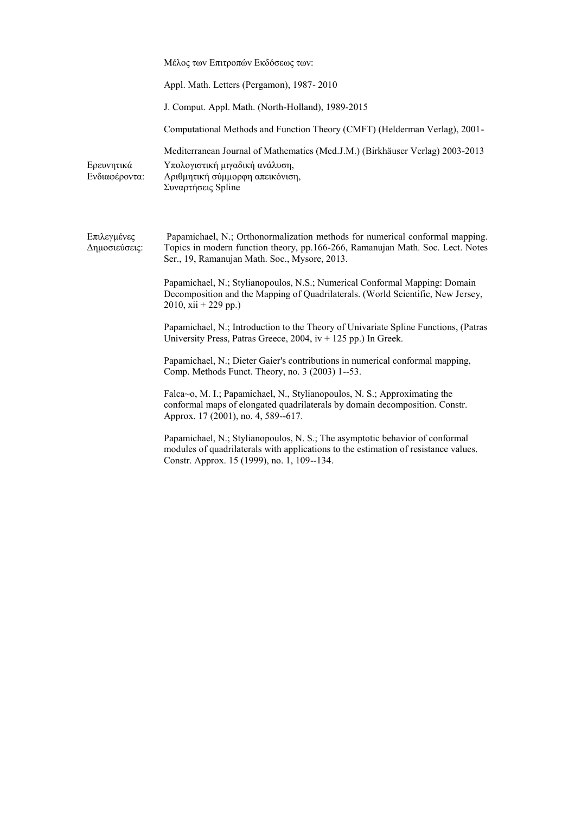|                              | Μέλος των Επιτροπών Εκδόσεως των:                                                                                                                                                                                  |
|------------------------------|--------------------------------------------------------------------------------------------------------------------------------------------------------------------------------------------------------------------|
|                              | Appl. Math. Letters (Pergamon), 1987-2010                                                                                                                                                                          |
|                              | J. Comput. Appl. Math. (North-Holland), 1989-2015                                                                                                                                                                  |
|                              | Computational Methods and Function Theory (CMFT) (Helderman Verlag), 2001-                                                                                                                                         |
| Ερευνητικά<br>Ενδιαφέροντα:  | Mediterranean Journal of Mathematics (Med.J.M.) (Birkhäuser Verlag) 2003-2013<br>Υπολογιστική μιγαδική ανάλυση,<br>Αριθμητική σύμμορφη απεικόνιση,<br>Συναρτήσεις Spline                                           |
| Επιλεγμένες<br>Δημοσιεύσεις: | Papamichael, N.; Orthonormalization methods for numerical conformal mapping.<br>Topics in modern function theory, pp.166-266, Ramanujan Math. Soc. Lect. Notes<br>Ser., 19, Ramanujan Math. Soc., Mysore, 2013.    |
|                              | Papamichael, N.; Stylianopoulos, N.S.; Numerical Conformal Mapping: Domain<br>Decomposition and the Mapping of Quadrilaterals. (World Scientific, New Jersey,<br>$2010$ , xii + 229 pp.)                           |
|                              | Papamichael, N.; Introduction to the Theory of Univariate Spline Functions, (Patras<br>University Press, Patras Greece, 2004, $iv + 125$ pp.) In Greek.                                                            |
|                              | Papamichael, N.; Dieter Gaier's contributions in numerical conformal mapping,<br>Comp. Methods Funct. Theory, no. 3 (2003) 1--53.                                                                                  |
|                              | Falca~o, M. I.; Papamichael, N., Stylianopoulos, N. S.; Approximating the<br>conformal maps of elongated quadrilaterals by domain decomposition. Constr.<br>Approx. 17 (2001), no. 4, 589--617.                    |
|                              | Papamichael, N.; Stylianopoulos, N. S.; The asymptotic behavior of conformal<br>modules of quadrilaterals with applications to the estimation of resistance values.<br>Constr. Approx. 15 (1999), no. 1, 109--134. |
|                              |                                                                                                                                                                                                                    |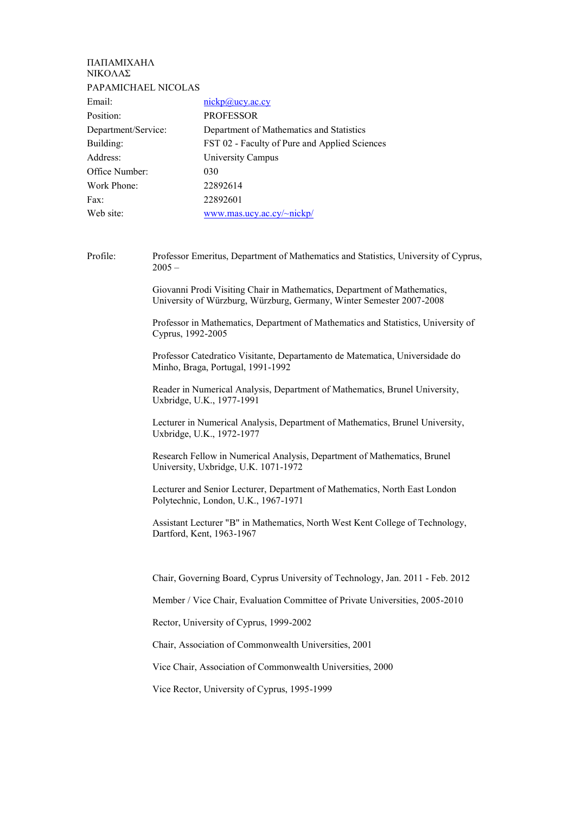| ΠΑΠΑΜΙΧΑΗΛ           |                                               |
|----------------------|-----------------------------------------------|
| ΝΙΚΟΛΑΣ              |                                               |
| PAPAMICHAEL NICOLAS  |                                               |
| Email:               | $nickp(a)$ ucy.ac.cy                          |
| Position:            | <b>PROFESSOR</b>                              |
| Department/Service:  | Department of Mathematics and Statistics      |
| Building:            | FST 02 - Faculty of Pure and Applied Sciences |
| Address <sup>-</sup> | University Campus                             |
| Office Number:       | 030                                           |
| Work Phone:          | 22892614                                      |
| Fax:                 | 22892601                                      |
| Web site:            | www.mas.ucy.ac.cy/~nickp/                     |
|                      |                                               |

Profile: Professor Emeritus, Department of Mathematics and Statistics, University of Cyprus,  $2005 -$ 

> Giovanni Prodi Visiting Chair in Mathematics, Department of Mathematics, University of Würzburg, Würzburg, Germany, Winter Semester 2007-2008

Professor in Mathematics, Department of Mathematics and Statistics, University of Cyprus, 1992-2005

Professor Catedratico Visitante, Departamento de Matematica, Universidade do Minho, Braga, Portugal, 1991-1992

Reader in Numerical Analysis, Department of Mathematics, Brunel University, Uxbridge, U.K., 1977-1991

Lecturer in Numerical Analysis, Department of Mathematics, Brunel University, Uxbridge, U.K., 1972-1977

Research Fellow in Numerical Analysis, Department of Mathematics, Brunel University, Uxbridge, U.K. 1071-1972

Lecturer and Senior Lecturer, Department of Mathematics, North East London Polytechnic, London, U.K., 1967-1971

Assistant Lecturer "B" in Mathematics, North West Kent College of Technology, Dartford, Kent, 1963-1967

Chair, Governing Board, Cyprus University of Technology, Jan. 2011 - Feb. 2012

Member / Vice Chair, Evaluation Committee of Private Universities, 2005-2010

Rector, University of Cyprus, 1999-2002

Chair, Association of Commonwealth Universities, 2001

Vice Chair, Association of Commonwealth Universities, 2000

Vice Rector, University of Cyprus, 1995-1999